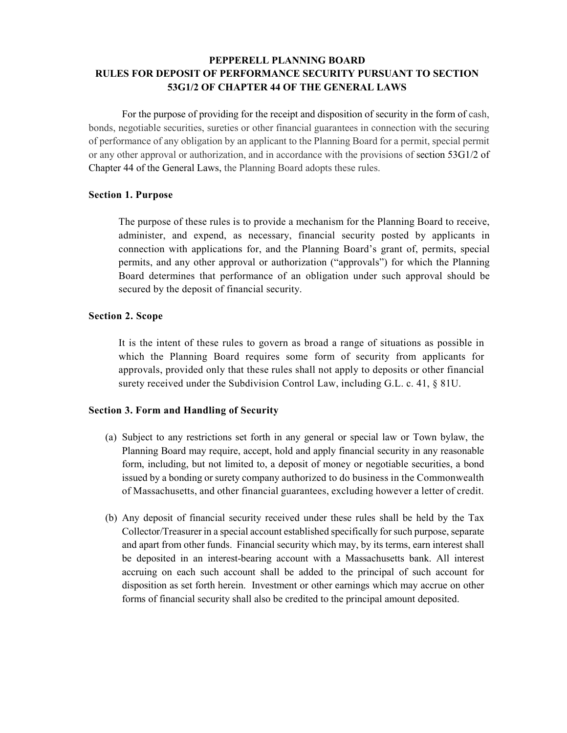# **PEPPERELL PLANNING BOARD RULES FOR DEPOSIT OF PERFORMANCE SECURITY PURSUANT TO SECTION 53G1/2 OF CHAPTER 44 OF THE GENERAL LAWS**

For the purpose of providing for the receipt and disposition of security in the form of cash, bonds, negotiable securities, sureties or other financial guarantees in connection with the securing of performance of any obligation by an applicant to the Planning Board for a permit, special permit or any other approval or authorization, and in accordance with the provisions of section 53G1/2 of Chapter 44 of the General Laws, the Planning Board adopts these rules.

## **Section 1. Purpose**

The purpose of these rules is to provide a mechanism for the Planning Board to receive, administer, and expend, as necessary, financial security posted by applicants in connection with applications for, and the Planning Board's grant of, permits, special permits, and any other approval or authorization ("approvals") for which the Planning Board determines that performance of an obligation under such approval should be secured by the deposit of financial security.

## **Section 2. Scope**

It is the intent of these rules to govern as broad a range of situations as possible in which the Planning Board requires some form of security from applicants for approvals, provided only that these rules shall not apply to deposits or other financial surety received under the Subdivision Control Law, including G.L. c. 41, § 81U.

## **Section 3. Form and Handling of Security**

- (a) Subject to any restrictions set forth in any general or special law or Town bylaw, the Planning Board may require, accept, hold and apply financial security in any reasonable form, including, but not limited to, a deposit of money or negotiable securities, a bond issued by a bonding or surety company authorized to do business in the Commonwealth of Massachusetts, and other financial guarantees, excluding however a letter of credit.
- (b) Any deposit of financial security received under these rules shall be held by the Tax Collector/Treasurer in a special account established specifically for such purpose, separate and apart from other funds. Financial security which may, by its terms, earn interest shall be deposited in an interest-bearing account with a Massachusetts bank. All interest accruing on each such account shall be added to the principal of such account for disposition as set forth herein. Investment or other earnings which may accrue on other forms of financial security shall also be credited to the principal amount deposited.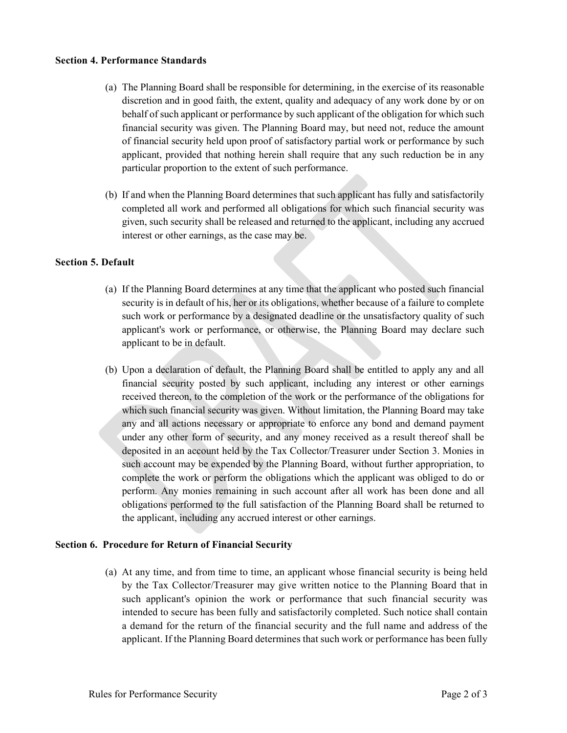#### **Section 4. Performance Standards**

- (a) The Planning Board shall be responsible for determining, in the exercise of its reasonable discretion and in good faith, the extent, quality and adequacy of any work done by or on behalf of such applicant or performance by such applicant of the obligation for which such financial security was given. The Planning Board may, but need not, reduce the amount of financial security held upon proof of satisfactory partial work or performance by such applicant, provided that nothing herein shall require that any such reduction be in any particular proportion to the extent of such performance.
- (b) If and when the Planning Board determines that such applicant has fully and satisfactorily completed all work and performed all obligations for which such financial security was given, such security shall be released and returned to the applicant, including any accrued interest or other earnings, as the case may be.

## **Section 5. Default**

- (a) If the Planning Board determines at any time that the applicant who posted such financial security is in default of his, her or its obligations, whether because of a failure to complete such work or performance by a designated deadline or the unsatisfactory quality of such applicant's work or performance, or otherwise, the Planning Board may declare such applicant to be in default.
- (b) Upon a declaration of default, the Planning Board shall be entitled to apply any and all financial security posted by such applicant, including any interest or other earnings received thereon, to the completion of the work or the performance of the obligations for which such financial security was given. Without limitation, the Planning Board may take any and all actions necessary or appropriate to enforce any bond and demand payment under any other form of security, and any money received as a result thereof shall be deposited in an account held by the Tax Collector/Treasurer under Section 3. Monies in such account may be expended by the Planning Board, without further appropriation, to complete the work or perform the obligations which the applicant was obliged to do or perform. Any monies remaining in such account after all work has been done and all obligations performed to the full satisfaction of the Planning Board shall be returned to the applicant, including any accrued interest or other earnings.

## **Section 6. Procedure for Return of Financial Security**

(a) At any time, and from time to time, an applicant whose financial security is being held by the Tax Collector/Treasurer may give written notice to the Planning Board that in such applicant's opinion the work or performance that such financial security was intended to secure has been fully and satisfactorily completed. Such notice shall contain a demand for the return of the financial security and the full name and address of the applicant. If the Planning Board determines that such work or performance has been fully